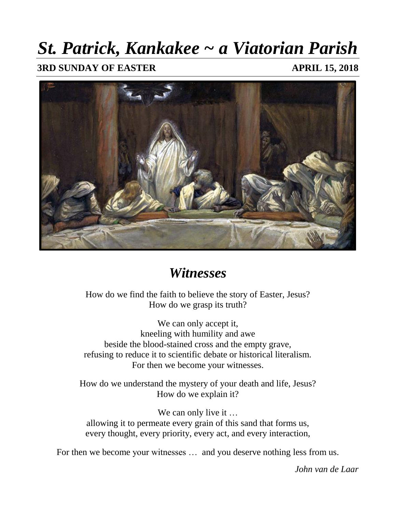# *St. Patrick, Kankakee ~ a Viatorian Parish*

**3RD SUNDAY OF EASTER APRIL 15, 2018** 



# *Witnesses*

How do we find the faith to believe the story of Easter, Jesus? How do we grasp its truth?

We can only accept it, kneeling with humility and awe beside the blood-stained cross and the empty grave, refusing to reduce it to scientific debate or historical literalism. For then we become your witnesses.

How do we understand the mystery of your death and life, Jesus? How do we explain it?

We can only live it … allowing it to permeate every grain of this sand that forms us, every thought, every priority, every act, and every interaction,

For then we become your witnesses … and you deserve nothing less from us.

*John van de Laar*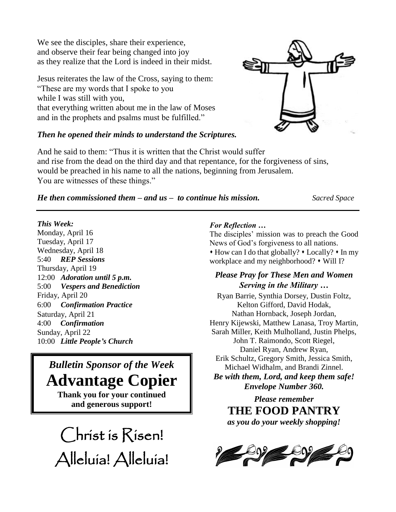We see the disciples, share their experience, and observe their fear being changed into joy as they realize that the Lord is indeed in their midst.

Jesus reiterates the law of the Cross, saying to them: "These are my words that I spoke to you while I was still with you, that everything written about me in the law of Moses and in the prophets and psalms must be fulfilled."

## *Then he opened their minds to understand the Scriptures.*

And he said to them: "Thus it is written that the Christ would suffer and rise from the dead on the third day and that repentance, for the forgiveness of sins, would be preached in his name to all the nations, beginning from Jerusalem. You are witnesses of these things."

*He then commissioned them – and us – to continue his mission. Sacred Space*

### *This Week:*

Monday, April 16 Tuesday, April 17 Wednesday, April 18 5:40 *REP Sessions* Thursday, April 19 12:00 *Adoration until 5 p.m.* 5:00 *Vespers and Benediction* Friday, April 20 6:00 *Confirmation Practice* Saturday, April 21 4:00 *Confirmation* Sunday, April 22 10:00 *Little People's Church*

# *Bulletin Sponsor of the Week* **Advantage Copier**

**Thank you for your continued and generous support!**

Christ is Risen! Alleluia! Alleluia!

#### *For Reflection …*

The disciples' mission was to preach the Good News of God's forgiveness to all nations. How can I do that globally? Locally? In my workplace and my neighborhood? • Will I?

# *Please Pray for These Men and Women Serving in the Military …*

Ryan Barrie, Synthia Dorsey, Dustin Foltz, Kelton Gifford, David Hodak, Nathan Hornback, Joseph Jordan, Henry Kijewski, Matthew Lanasa, Troy Martin, Sarah Miller, Keith Mulholland, Justin Phelps, John T. Raimondo, Scott Riegel, Daniel Ryan, Andrew Ryan, Erik Schultz, Gregory Smith, Jessica Smith, Michael Widhalm, and Brandi Zinnel.

*Be with them, Lord, and keep them safe!* *Envelope Number 360.*

*Please remember*  **THE FOOD PANTRY**  *as you do your weekly shopping!*



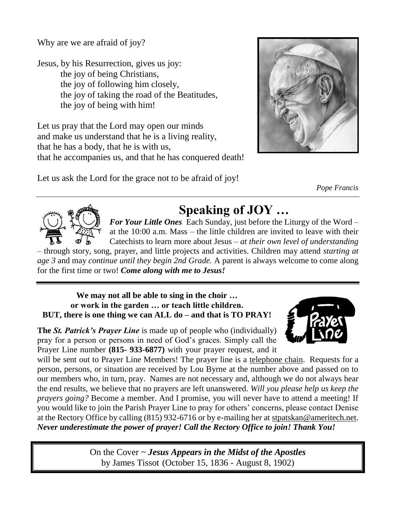Why are we are afraid of joy?

Jesus, by his Resurrection, gives us joy: the joy of being Christians, the joy of following him closely, the joy of taking the road of the Beatitudes, the joy of being with him!

Let us pray that the Lord may open our minds and make us understand that he is a living reality, that he has a body, that he is with us, that he accompanies us, and that he has conquered death!

Let us ask the Lord for the grace not to be afraid of joy!



*Pope Francis*



# **Speaking of JOY …**

*For Your Little Ones* Each Sunday, just before the Liturgy of the Word – at the 10:00 a.m. Mass – the little children are invited to leave with their Catechists to learn more about Jesus – *at their own level of understanding* 

– through story, song, prayer, and little projects and activities. Children may attend *starting at age 3* and may *continue until they begin 2nd Grade.* A parent is always welcome to come along for the first time or two! *Come along with me to Jesus!*

**We may not all be able to sing in the choir … or work in the garden … or teach little children. BUT, there is one thing we can ALL do – and that is TO PRAY!**

**The** *St. Patrick's Prayer Line* is made up of people who (individually) pray for a person or persons in need of God's graces. Simply call the Prayer Line number **(815- 933-6877)** with your prayer request, and it

will be sent out to Prayer Line Members! The prayer line is a telephone chain. Requests for a person, persons, or situation are received by Lou Byrne at the number above and passed on to our members who, in turn, pray. Names are not necessary and, although we do not always hear the end results, we believe that no prayers are left unanswered. *Will you please help us keep the prayers going?* Become a member. And I promise, you will never have to attend a meeting! If you would like to join the Parish Prayer Line to pray for others' concerns, please contact Denise at the Rectory Office by calling (815) 932-6716 or by e-mailing her at [stpatskan@ameritech.net.](mailto:stpatskan@ameritech.net) *Never underestimate the power of prayer! Call the Rectory Office to join! Thank You!*

> On the Cover ~ *Jesus Appears in the Midst of the Apostles* by James Tissot (October 15, 1836 - August 8, 1902)

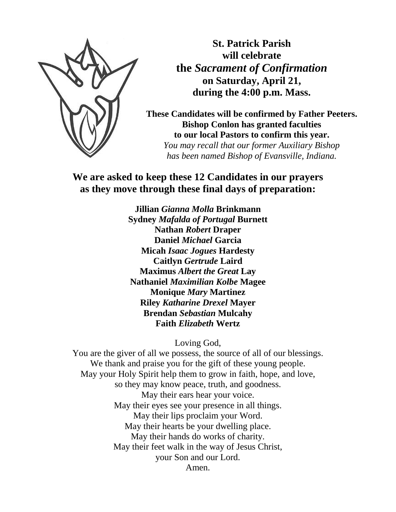

**St. Patrick Parish will celebrate the** *Sacrament of Confirmation* **on Saturday, April 21, during the 4:00 p.m. Mass.**

**These Candidates will be confirmed by Father Peeters. Bishop Conlon has granted faculties to our local Pastors to confirm this year.**

*You may recall that our former Auxiliary Bishop has been named Bishop of Evansville, Indiana.*

# **We are asked to keep these 12 Candidates in our prayers as they move through these final days of preparation:**

**Jillian** *Gianna Molla* **Brinkmann Sydney** *Mafalda of Portugal* **Burnett Nathan** *Robert* **Draper Daniel** *Michael* **Garcia Micah** *Isaac Jogues* **Hardesty Caitlyn** *Gertrude* **Laird Maximus** *Albert the Great* **Lay Nathaniel** *Maximilian Kolbe* **Magee Monique** *Mary* **Martinez Riley** *Katharine Drexel* **Mayer Brendan** *Sebastian* **Mulcahy Faith** *Elizabeth* **Wertz**

Loving God,

You are the giver of all we possess, the source of all of our blessings. We thank and praise you for the gift of these young people. May your Holy Spirit help them to grow in faith, hope, and love, so they may know peace, truth, and goodness. May their ears hear your voice. May their eyes see your presence in all things. May their lips proclaim your Word. May their hearts be your dwelling place. May their hands do works of charity. May their feet walk in the way of Jesus Christ, your Son and our Lord. Amen.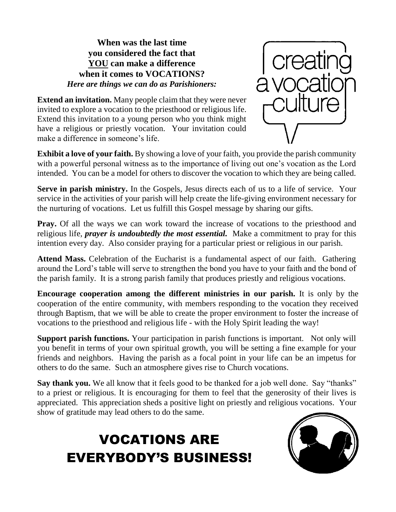# **When was the last time you considered the fact that YOU can make a difference when it comes to VOCATIONS?** *Here are things we can do as Parishioners:*

**Extend an invitation.** Many people claim that they were never invited to explore a vocation to the priesthood or religious life. Extend this invitation to a young person who you think might have a religious or priestly vocation. Your invitation could make a difference in someone's life.



**Exhibit a love of your faith.** By showing a love of your faith, you provide the parish community with a powerful personal witness as to the importance of living out one's vocation as the Lord intended. You can be a model for others to discover the vocation to which they are being called.

**Serve in parish ministry.** In the Gospels, Jesus directs each of us to a life of service. Your service in the activities of your parish will help create the life-giving environment necessary for the nurturing of vocations. Let us fulfill this Gospel message by sharing our gifts.

**Pray.** Of all the ways we can work toward the increase of vocations to the priesthood and religious life, *prayer is undoubtedly the most essential.* Make a commitment to pray for this intention every day. Also consider praying for a particular priest or religious in our parish.

**Attend Mass.** Celebration of the Eucharist is a fundamental aspect of our faith. Gathering around the Lord's table will serve to strengthen the bond you have to your faith and the bond of the parish family. It is a strong parish family that produces priestly and religious vocations.

**Encourage cooperation among the different ministries in our parish.** It is only by the cooperation of the entire community, with members responding to the vocation they received through Baptism, that we will be able to create the proper environment to foster the increase of vocations to the priesthood and religious life - with the Holy Spirit leading the way!

**Support parish functions.** Your participation in parish functions is important. Not only will you benefit in terms of your own spiritual growth, you will be setting a fine example for your friends and neighbors. Having the parish as a focal point in your life can be an impetus for others to do the same. Such an atmosphere gives rise to Church vocations.

**Say thank you.** We all know that it feels good to be thanked for a job well done. Say "thanks" to a priest or religious. It is encouraging for them to feel that the generosity of their lives is appreciated. This appreciation sheds a positive light on priestly and religious vocations. Your show of gratitude may lead others to do the same.

# VOCATIONS ARE EVERYBODY'S BUSINESS!

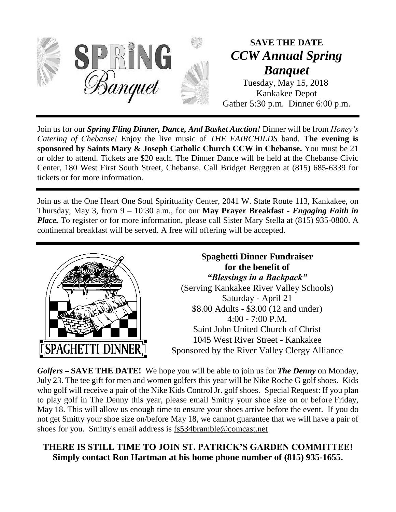

**SAVE THE DATE** *CCW Annual Spring Banquet*

Tuesday, May 15, 2018 Kankakee Depot Gather 5:30 p.m. Dinner 6:00 p.m.

Join us for our *Spring Fling Dinner, Dance, And Basket Auction!* Dinner will be from *Honey's Catering of Chebanse!* Enjoy the live music of *THE FAIRCHILDS* band*.* **The evening is sponsored by Saints Mary & Joseph Catholic Church CCW in Chebanse.** You must be 21 or older to attend. Tickets are \$20 each. The Dinner Dance will be held at the Chebanse Civic Center, 180 West First South Street, Chebanse. Call Bridget Berggren at (815) 685-6339 for tickets or for more information.

Join us at the One Heart One Soul Spirituality Center, 2041 W. State Route 113, Kankakee, on Thursday, May 3, from 9 – 10:30 a.m., for our **May Prayer Breakfast -** *Engaging Faith in Place*. To register or for more information, please call Sister Mary Stella at (815) 935-0800. A continental breakfast will be served. A free will offering will be accepted.



**Spaghetti Dinner Fundraiser for the benefit of** *"Blessings in a Backpack"* (Serving Kankakee River Valley Schools) Saturday - April 21 \$8.00 Adults - \$3.00 (12 and under) 4:00 - 7:00 P.M. Saint John United Church of Christ 1045 West River Street - Kankakee Sponsored by the River Valley Clergy Alliance

*Golfers* **– SAVE THE DATE!** We hope you will be able to join us for *The Denny* on Monday, July 23. The tee gift for men and women golfers this year will be Nike Roche G golf shoes. Kids who golf will receive a pair of the Nike Kids Control Jr. golf shoes. Special Request: If you plan to play golf in The Denny this year, please email Smitty your shoe size on or before Friday, May 18. This will allow us enough time to ensure your shoes arrive before the event. If you do not get Smitty your shoe size on/before May 18, we cannot guarantee that we will have a pair of shoes for you. Smitty's email address is [fs534bramble@comcast.net](mailto:fs534bramble@comcast.net)

# **THERE IS STILL TIME TO JOIN ST. PATRICK'S GARDEN COMMITTEE! Simply contact Ron Hartman at his home phone number of [\(815\) 935-1655.](tel:(815)%20935-1655)**